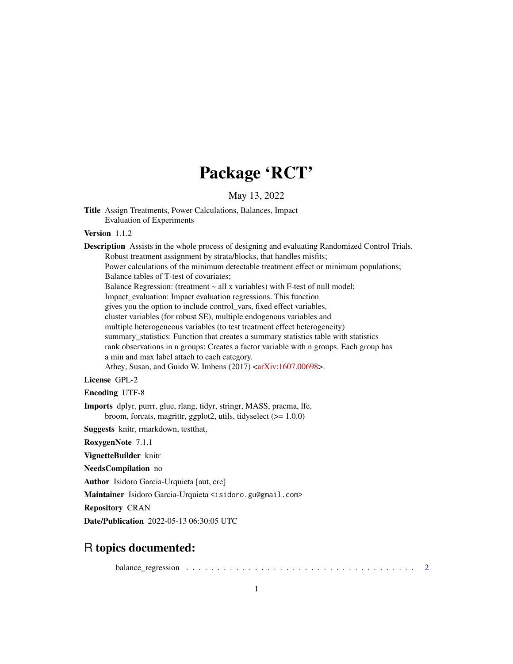## Package 'RCT'

May 13, 2022

```
Title Assign Treatments, Power Calculations, Balances, Impact
     Evaluation of Experiments
```
#### Version 112

Description Assists in the whole process of designing and evaluating Randomized Control Trials. Robust treatment assignment by strata/blocks, that handles misfits; Power calculations of the minimum detectable treatment effect or minimum populations; Balance tables of T-test of covariates; Balance Regression: (treatment  $\sim$  all x variables) with F-test of null model; Impact\_evaluation: Impact evaluation regressions. This function gives you the option to include control\_vars, fixed effect variables, cluster variables (for robust SE), multiple endogenous variables and multiple heterogeneous variables (to test treatment effect heterogeneity) summary\_statistics: Function that creates a summary statistics table with statistics rank observations in n groups: Creates a factor variable with n groups. Each group has a min and max label attach to each category. Athey, Susan, and Guido W. Imbens (2017) [<arXiv:1607.00698>](https://arxiv.org/abs/1607.00698). License GPL-2 Encoding UTF-8 Imports dplyr, purrr, glue, rlang, tidyr, stringr, MASS, pracma, lfe, broom, forcats, magrittr, ggplot2, utils, tidyselect (>= 1.0.0) Suggests knitr, rmarkdown, testthat, RoxygenNote 7.1.1 VignetteBuilder knitr NeedsCompilation no Author Isidoro Garcia-Urquieta [aut, cre] Maintainer Isidoro Garcia-Urquieta <isidoro.gu@gmail.com>

Repository CRAN

Date/Publication 2022-05-13 06:30:05 UTC

### R topics documented:

balance\_regression  $\ldots \ldots \ldots \ldots \ldots \ldots \ldots \ldots \ldots \ldots \ldots \ldots \ldots 2$  $\ldots \ldots \ldots \ldots \ldots \ldots \ldots \ldots \ldots \ldots \ldots \ldots \ldots 2$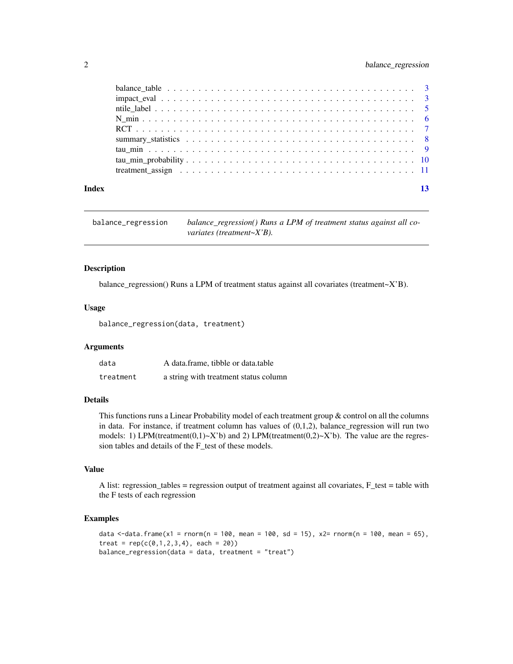#### <span id="page-1-0"></span>2 balance\_regression

|       | balance table $\ldots \ldots \ldots \ldots \ldots \ldots \ldots \ldots \ldots \ldots \ldots \ldots \ldots$ |  |
|-------|------------------------------------------------------------------------------------------------------------|--|
|       |                                                                                                            |  |
|       |                                                                                                            |  |
|       |                                                                                                            |  |
|       |                                                                                                            |  |
|       |                                                                                                            |  |
|       |                                                                                                            |  |
|       |                                                                                                            |  |
|       |                                                                                                            |  |
|       |                                                                                                            |  |
| Index |                                                                                                            |  |

balance\_regression *balance\_regression() Runs a LPM of treatment status against all covariates (treatment~X'B).*

#### Description

balance\_regression() Runs a LPM of treatment status against all covariates (treatment~X'B).

#### Usage

balance\_regression(data, treatment)

#### Arguments

| data      | A data.frame, tibble or data.table    |
|-----------|---------------------------------------|
| treatment | a string with treatment status column |

#### Details

This functions runs a Linear Probability model of each treatment group & control on all the columns in data. For instance, if treatment column has values of  $(0,1,2)$ , balance\_regression will run two models: 1) LPM(treatment(0,1)~X'b) and 2) LPM(treatment(0,2)~X'b). The value are the regression tables and details of the F\_test of these models.

#### Value

A list: regression\_tables = regression output of treatment against all covariates, F\_test = table with the F tests of each regression

```
data \le-data.frame(x1 = rnorm(n = 100, mean = 100, sd = 15), x2= rnorm(n = 100, mean = 65),
treat = rep(c(0,1,2,3,4), each = 20)balance_regression(data = data, treatment = "treat")
```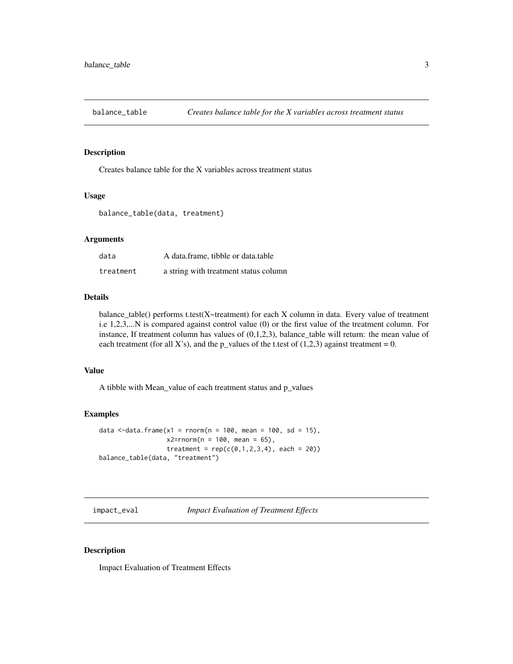<span id="page-2-0"></span>

#### Description

Creates balance table for the X variables across treatment status

#### Usage

```
balance_table(data, treatment)
```
#### Arguments

| data      | A data frame, tibble or data table    |
|-----------|---------------------------------------|
| treatment | a string with treatment status column |

#### Details

balance\_table() performs t.test(X~treatment) for each X column in data. Every value of treatment i.e 1,2,3,...N is compared against control value (0) or the first value of the treatment column. For instance, If treatment column has values of  $(0,1,2,3)$ , balance\_table will return: the mean value of each treatment (for all X's), and the p\_values of the t.test of  $(1,2,3)$  against treatment = 0.

#### Value

A tibble with Mean\_value of each treatment status and p\_values

#### Examples

```
data \le-data.frame(x1 = rnorm(n = 100, mean = 100, sd = 15),
                  x2=rnorm(n = 100, mean = 65),
                  treatment = rep(c(0,1,2,3,4), each = 20)balance_table(data, "treatment")
```
impact\_eval *Impact Evaluation of Treatment Effects*

#### Description

Impact Evaluation of Treatment Effects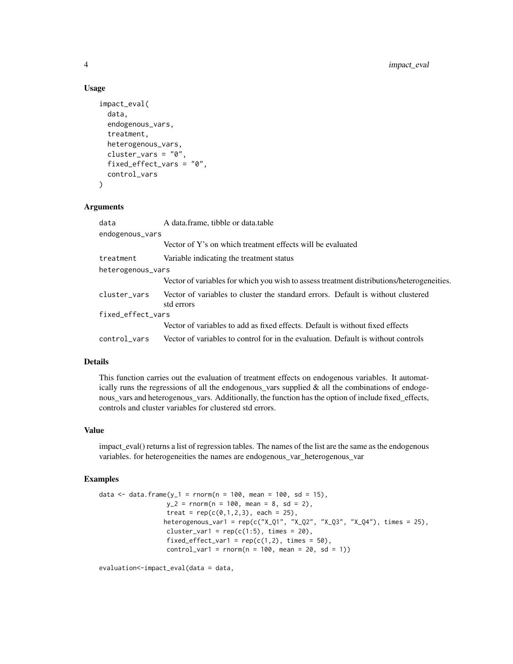#### Usage

```
impact_eval(
  data,
  endogenous_vars,
  treatment,
  heterogenous_vars,
  cluster_vars = "0".
  fixed_effect_vars = "0",
  control_vars
\mathcal{L}
```
#### Arguments

| data              | A data frame, tibble or data table                                                             |
|-------------------|------------------------------------------------------------------------------------------------|
| endogenous_vars   |                                                                                                |
|                   | Vector of Y's on which treatment effects will be evaluated                                     |
| treatment         | Variable indicating the treatment status                                                       |
| heterogenous_vars |                                                                                                |
|                   | Vector of variables for which you wish to assess treatment distributions/heterogeneities.      |
| cluster_vars      | Vector of variables to cluster the standard errors. Default is without clustered<br>std errors |
| fixed_effect_vars |                                                                                                |
|                   | Vector of variables to add as fixed effects. Default is without fixed effects                  |
|                   | control vars Vector of variables to control for in the evaluation. Default is without controls |

#### Details

This function carries out the evaluation of treatment effects on endogenous variables. It automatically runs the regressions of all the endogenous\_vars supplied & all the combinations of endogenous\_vars and heterogenous\_vars. Additionally, the function has the option of include fixed\_effects, controls and cluster variables for clustered std errors.

#### Value

impact\_eval() returns a list of regression tables. The names of the list are the same as the endogenous variables. for heterogeneities the names are endogenous\_var\_heterogenous\_var

#### Examples

```
data <- data.frame(y_1 = r \cdot norm(n = 100, mean = 100, sd = 15),
                  y_2 = rnorm(n = 100, mean = 8, sd = 2),treat = rep(c(\emptyset, 1, 2, 3)), each = 25),
                  heterogenous_var1 = rep(c("X_Q1", "X_Q2", "X_Q3", "X_Q4"), times = 25),cluster_var1 = rep(c(1:5), times = 20),
                   fixed_effect_var1 = rep(c(1,2), times = 50),
                   control\_var1 = rnorm(n = 100, mean = 20, sd = 1))
```
evaluation<-impact\_eval(data = data,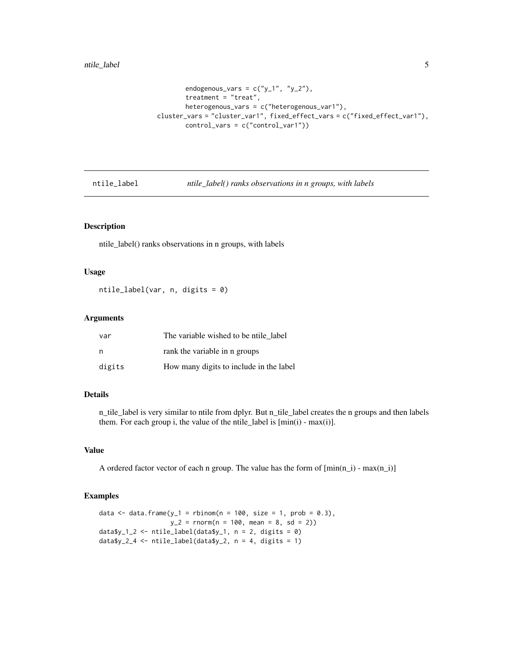```
endogenous_vars = c("y_1", "y_2"),
       treatment = "treat",
       heterogenous_vars = c("heterogenous_var1"),
cluster_vars = "cluster_var1", fixed_effect_vars = c("fixed_effect_var1"),
       control_vars = c("control_var1"))
```
ntile\_label *ntile\_label() ranks observations in n groups, with labels*

#### Description

ntile\_label() ranks observations in n groups, with labels

#### Usage

ntile\_label(var, n, digits = 0)

#### Arguments

| var    | The variable wished to be ntile label   |
|--------|-----------------------------------------|
| n      | rank the variable in n groups           |
| digits | How many digits to include in the label |

#### Details

n\_tile\_label is very similar to ntile from dplyr. But n\_tile\_label creates the n groups and then labels them. For each group i, the value of the ntile\_label is  $[\min(i)$  -  $\max(i)]$ .

#### Value

A ordered factor vector of each n group. The value has the form of  $[\min(n_i)$  -  $\max(n_i)]$ 

```
data \leq data.frame(y_1 = rbinom(n = 100, size = 1, prob = 0.3),
                  y_2 = rnorm(n = 100, mean = 8, sd = 2)data$y_1_2 <- ntile_label(data$y_1, n = 2, digits = 0)
data\y_2_4 < - ntile_label(datay_2, n = 4, digits = 1)
```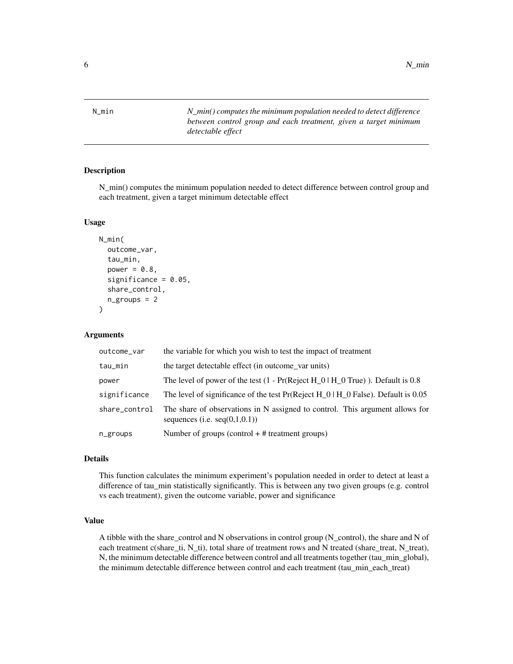<span id="page-5-0"></span>N\_min *N\_min() computes the minimum population needed to detect difference between control group and each treatment, given a target minimum detectable effect*

#### Description

N\_min() computes the minimum population needed to detect difference between control group and each treatment, given a target minimum detectable effect

#### Usage

```
N_min(
  outcome_var,
  tau_min,
  power = 0.8,
  significance = 0.05,
  share_control,
  n_groups = 2
)
```
#### Arguments

| outcome_var   | the variable for which you wish to test the impact of treatment                                                  |
|---------------|------------------------------------------------------------------------------------------------------------------|
| tau_min       | the target detectable effect (in outcome_var units)                                                              |
| power         | The level of power of the test $(1 - Pr(Reject H_0) H_0)$ . Default is 0.8                                       |
| significance  | The level of significance of the test $Pr(Reject H 0)H 0 False)$ . Default is 0.05                               |
| share_control | The share of observations in N assigned to control. This argument allows for<br>sequences (i.e. $seq(0,1,0.1)$ ) |
| n_groups      | Number of groups (control $+$ # treatment groups)                                                                |

#### Details

This function calculates the minimum experiment's population needed in order to detect at least a difference of tau\_min statistically significantly. This is between any two given groups (e.g. control vs each treatment), given the outcome variable, power and significance

#### Value

A tibble with the share\_control and N observations in control group (N\_control), the share and N of each treatment c(share\_ti, N\_ti), total share of treatment rows and N treated (share\_treat, N\_treat), N, the minimum detectable difference between control and all treatments together (tau\_min\_global), the minimum detectable difference between control and each treatment (tau\_min\_each\_treat)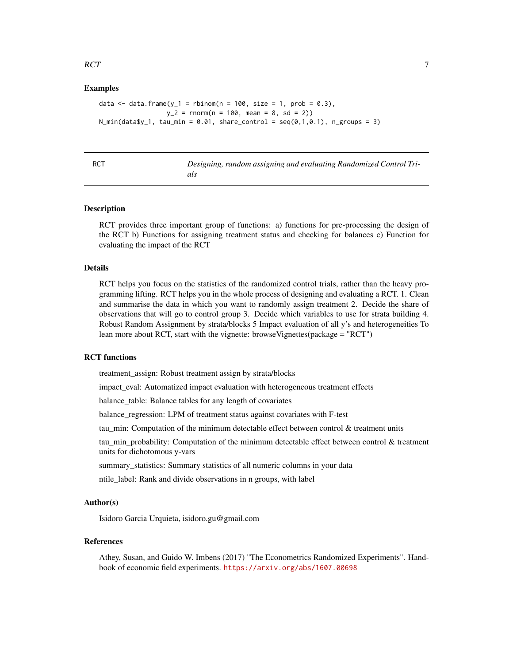#### <span id="page-6-0"></span> $RCT$  and  $\overline{7}$

#### Examples

```
data \leq data.frame(y_1 = rbinom(n = 100, size = 1, prob = 0.3),
                 y_2 = rnorm(n = 100, mean = 8, sd = 2)N_min(data$y_1, tau_min = 0.01, share_control = seq(0,1,0.1), n_groups = 3)
```

| ۰,           |  |
|--------------|--|
|              |  |
| ۰.<br>$\sim$ |  |

#### Designing, random assigning and evaluating Randomized Control Tri*als*

#### **Description**

RCT provides three important group of functions: a) functions for pre-processing the design of the RCT b) Functions for assigning treatment status and checking for balances c) Function for evaluating the impact of the RCT

#### Details

RCT helps you focus on the statistics of the randomized control trials, rather than the heavy programming lifting. RCT helps you in the whole process of designing and evaluating a RCT. 1. Clean and summarise the data in which you want to randomly assign treatment 2. Decide the share of observations that will go to control group 3. Decide which variables to use for strata building 4. Robust Random Assignment by strata/blocks 5 Impact evaluation of all y's and heterogeneities To lean more about RCT, start with the vignette: browseVignettes(package = "RCT")

#### RCT functions

treatment\_assign: Robust treatment assign by strata/blocks

impact\_eval: Automatized impact evaluation with heterogeneous treatment effects

balance\_table: Balance tables for any length of covariates

balance\_regression: LPM of treatment status against covariates with F-test

tau\_min: Computation of the minimum detectable effect between control & treatment units

tau\_min\_probability: Computation of the minimum detectable effect between control & treatment units for dichotomous y-vars

summary\_statistics: Summary statistics of all numeric columns in your data

ntile\_label: Rank and divide observations in n groups, with label

#### Author(s)

Isidoro Garcia Urquieta, isidoro.gu@gmail.com

#### References

Athey, Susan, and Guido W. Imbens (2017) "The Econometrics Randomized Experiments". Handbook of economic field experiments. <https://arxiv.org/abs/1607.00698>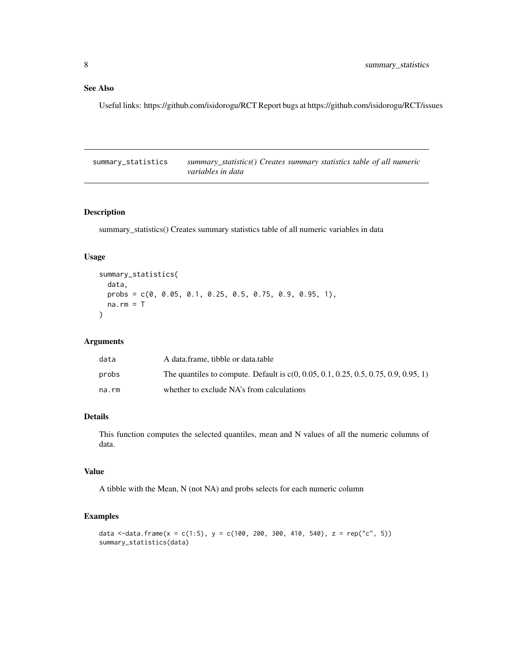#### <span id="page-7-0"></span>See Also

Useful links: https://github.com/isidorogu/RCT Report bugs at https://github.com/isidorogu/RCT/issues

summary\_statistics *summary\_statistics() Creates summary statistics table of all numeric variables in data*

#### Description

summary\_statistics() Creates summary statistics table of all numeric variables in data

#### Usage

```
summary_statistics(
 data,
 probs = c(0, 0.05, 0.1, 0.25, 0.5, 0.75, 0.9, 0.95, 1),
 na.rm = T)
```
#### Arguments

| data  | A data.frame, tibble or data.table                                                    |
|-------|---------------------------------------------------------------------------------------|
| probs | The quantiles to compute. Default is $c(0, 0.05, 0.1, 0.25, 0.5, 0.75, 0.9, 0.95, 1)$ |
| na.rm | whether to exclude NA's from calculations                                             |

#### Details

This function computes the selected quantiles, mean and N values of all the numeric columns of data.

#### Value

A tibble with the Mean, N (not NA) and probs selects for each numeric column

```
data <-data.frame(x = c(1:5), y = c(100, 200, 300, 410, 540), z = rep("c", 5))
summary_statistics(data)
```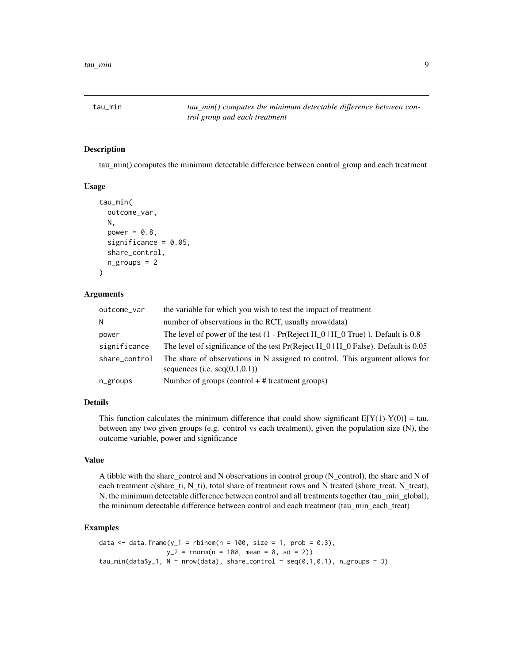<span id="page-8-0"></span>tau\_min *tau\_min() computes the minimum detectable difference between control group and each treatment*

#### Description

tau\_min() computes the minimum detectable difference between control group and each treatment

#### Usage

```
tau_min(
  outcome_var,
  N,
  power = 0.8,
  significance = 0.05,
  share_control,
  n_{\text{g}roups} = 2
)
```
#### Arguments

| outcome_var   | the variable for which you wish to test the impact of treatment                                                  |
|---------------|------------------------------------------------------------------------------------------------------------------|
| N             | number of observations in the RCT, usually nrow(data)                                                            |
| power         | The level of power of the test $(1 - Pr(Reject H_0) H_0 True)$ . Default is 0.8                                  |
| significance  | The level of significance of the test $Pr(Reject H_0   H_0 False)$ . Default is 0.05                             |
| share control | The share of observations in N assigned to control. This argument allows for<br>sequences (i.e. $seq(0,1,0,1)$ ) |
| n_groups      | Number of groups (control $+$ # treatment groups)                                                                |

#### Details

This function calculates the minimum difference that could show significant  $E[Y(1)-Y(0)] = \text{tau}$ , between any two given groups (e.g. control vs each treatment), given the population size (N), the outcome variable, power and significance

#### Value

A tibble with the share control and N observations in control group (N control), the share and N of each treatment c(share\_ti, N\_ti), total share of treatment rows and N treated (share\_treat, N\_treat), N, the minimum detectable difference between control and all treatments together (tau\_min\_global), the minimum detectable difference between control and each treatment (tau\_min\_each\_treat)

```
data \le data.frame(y_1 = rbinom(n = 100, size = 1, prob = 0.3),
                  y_2 = rnorm(n = 100, mean = 8, sd = 2)tau_min(data$y_1, N = nrow(data), share_control = seq(0,1,0.1), n_groups = 3)
```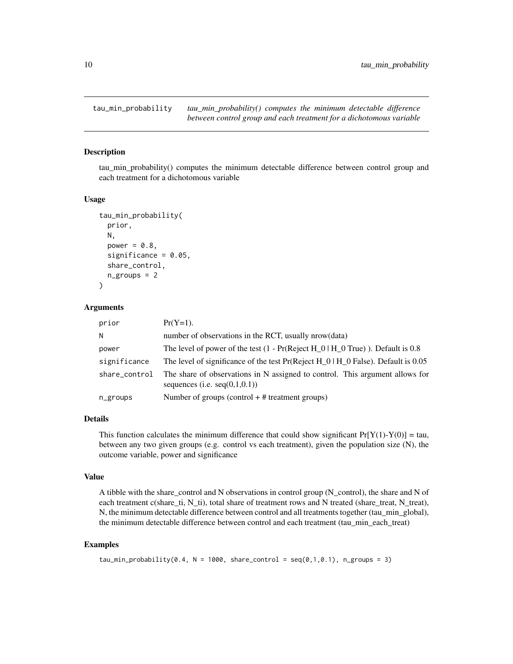<span id="page-9-0"></span>tau\_min\_probability *tau\_min\_probability() computes the minimum detectable difference between control group and each treatment for a dichotomous variable*

#### Description

tau\_min\_probability() computes the minimum detectable difference between control group and each treatment for a dichotomous variable

#### Usage

```
tau_min_probability(
  prior,
 N,
  power = 0.8,
  significance = 0.05,
  share_control,
  n_groups = 2
\lambda
```
#### Arguments

| prior         | $Pr(Y=1)$ .                                                                                                      |
|---------------|------------------------------------------------------------------------------------------------------------------|
| N             | number of observations in the RCT, usually nrow(data)                                                            |
| power         | The level of power of the test $(1 - Pr(Reject H_0) H_0)$ . Default is 0.8                                       |
| significance  | The level of significance of the test $Pr(Reject H_0   H_0 False)$ . Default is 0.05                             |
| share_control | The share of observations in N assigned to control. This argument allows for<br>sequences (i.e. $seq(0,1,0.1)$ ) |
| n_groups      | Number of groups (control $+$ # treatment groups)                                                                |

#### Details

This function calculates the minimum difference that could show significant  $Pr[Y(1)-Y(0)] = \tan$ , between any two given groups (e.g. control vs each treatment), given the population size (N), the outcome variable, power and significance

#### Value

A tibble with the share\_control and N observations in control group (N\_control), the share and N of each treatment c(share\_ti, N\_ti), total share of treatment rows and N treated (share\_treat, N\_treat), N, the minimum detectable difference between control and all treatments together (tau\_min\_global), the minimum detectable difference between control and each treatment (tau\_min\_each\_treat)

```
tau_min_probability(0.4, N = 1000, share_control = seq(0,1,0.1), n_groups = 3)
```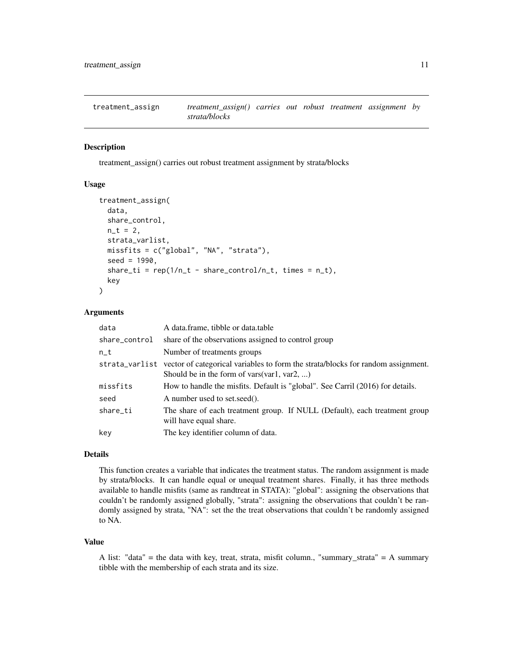<span id="page-10-0"></span>treatment\_assign *treatment\_assign() carries out robust treatment assignment by strata/blocks*

#### Description

treatment\_assign() carries out robust treatment assignment by strata/blocks

#### Usage

```
treatment_assign(
  data,
  share_control,
 n_t = 2,
  strata_varlist,
 missfits = c("global", "NA", "strata"),
  seed = 1990.
  share_ti = rep(1/n_t - share_control/n_t, times = n_t),
  key
)
```
#### Arguments

| data          | A data.frame, tibble or data.table                                                                                                             |
|---------------|------------------------------------------------------------------------------------------------------------------------------------------------|
| share_control | share of the observations assigned to control group                                                                                            |
| $n_t$         | Number of treatments groups                                                                                                                    |
|               | strata_varlist vector of categorical variables to form the strata/blocks for random assignment.<br>Should be in the form of vars(var1, var2, ) |
| missfits      | How to handle the misfits. Default is "global". See Carril (2016) for details.                                                                 |
| seed          | A number used to set.seed().                                                                                                                   |
| share_ti      | The share of each treatment group. If NULL (Default), each treatment group<br>will have equal share.                                           |
| key           | The key identifier column of data.                                                                                                             |

#### Details

This function creates a variable that indicates the treatment status. The random assignment is made by strata/blocks. It can handle equal or unequal treatment shares. Finally, it has three methods available to handle misfits (same as randtreat in STATA): "global": assigning the observations that couldn't be randomly assigned globally, "strata": assigning the observations that couldn't be randomly assigned by strata, "NA": set the the treat observations that couldn't be randomly assigned to NA.

#### Value

A list: "data" = the data with key, treat, strata, misfit column., "summary\_strata" = A summary tibble with the membership of each strata and its size.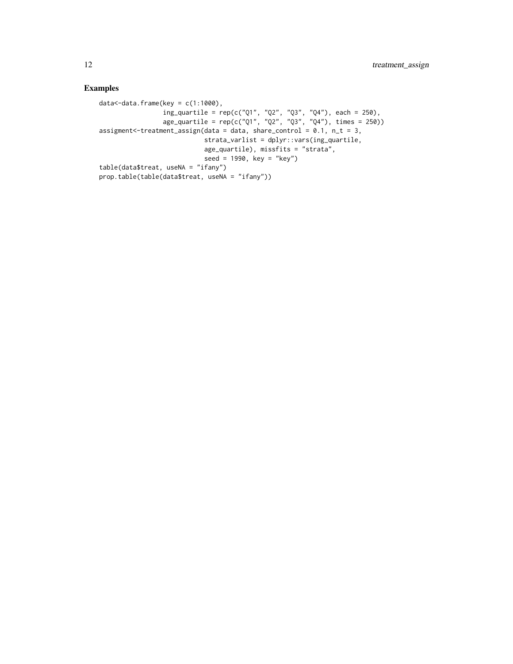```
data<-data.frame(key = c(1:1000),
                 ing_quartile = rep(c("Q1", "Q2", "Q3", "Q4"), each = 250),
                 age_quartile = rep(c("Q1", "Q2", "Q3", "Q4"), times = 250))
assignment < -treatment_assign(data = data, share_{control = 0.1, n_t = 3,strata_varlist = dplyr::vars(ing_quartile,
                            age_quartile), missfits = "strata",
                            seed = 1990, key = "key")
table(data$treat, useNA = "ifany")
prop.table(table(data$treat, useNA = "ifany"))
```